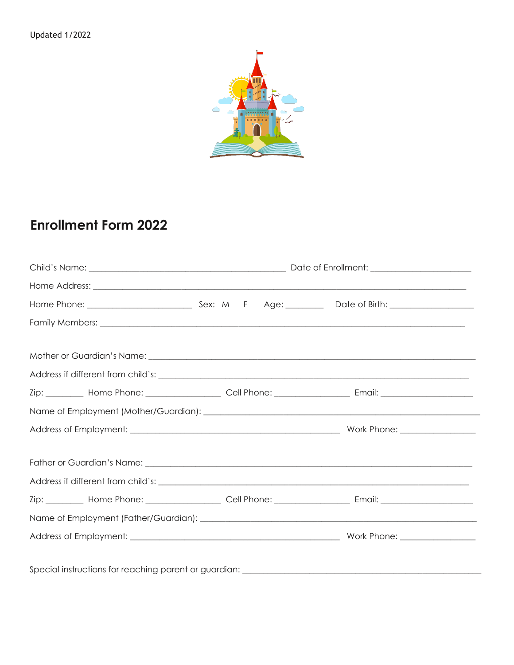

## **Enrollment Form 2022**

|                                                       |  |  |  |  | Zip: __________ Home Phone: _____________________ Cell Phone: __________________ Email: ______________________ |
|-------------------------------------------------------|--|--|--|--|----------------------------------------------------------------------------------------------------------------|
|                                                       |  |  |  |  |                                                                                                                |
|                                                       |  |  |  |  |                                                                                                                |
|                                                       |  |  |  |  |                                                                                                                |
|                                                       |  |  |  |  |                                                                                                                |
|                                                       |  |  |  |  | Zip: __________ Home Phone: _____________________ Cell Phone: __________________ Email: ______________________ |
|                                                       |  |  |  |  |                                                                                                                |
|                                                       |  |  |  |  |                                                                                                                |
| Special instructions for reaching parent or guardian: |  |  |  |  |                                                                                                                |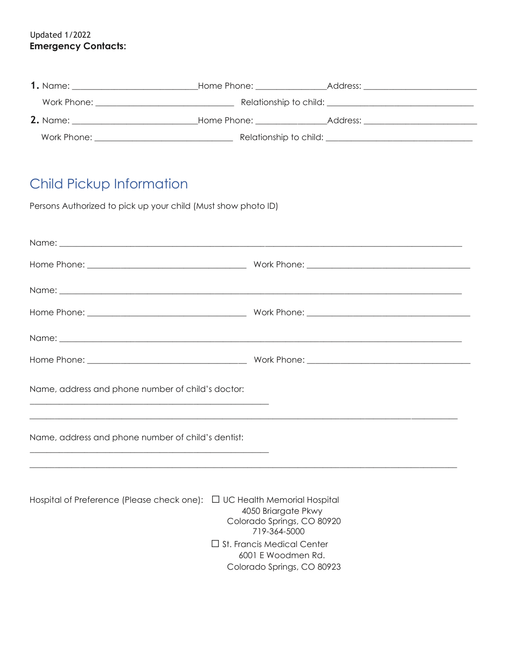Updated 1/2022 **Emergency Contacts:**

|                 | Home Phone: North Money                                                                                        | Address:                                      |  |  |
|-----------------|----------------------------------------------------------------------------------------------------------------|-----------------------------------------------|--|--|
| Work Phone:     |                                                                                                                | Relationship to child: Relationship to child: |  |  |
| <b>2.</b> Name: | Home Phone: Electronic State State State State State State State State State State State State State State Sta | Address:                                      |  |  |
| Work Phone:     |                                                                                                                | Relationship to child:                        |  |  |

## Child Pickup Information

Persons Authorized to pick up your child (Must show photo ID)

| Name, address and phone number of child's doctor:                                                                                             |  |  |  |
|-----------------------------------------------------------------------------------------------------------------------------------------------|--|--|--|
| Name, address and phone number of child's dentist:                                                                                            |  |  |  |
| Hospital of Preference (Please check one): □ UC Health Memorial Hospital<br>4050 Briargate Pkwy<br>Colorado Springs, CO 80920<br>719-364-5000 |  |  |  |

 ☐ St. Francis Medical Center 6001 E Woodmen Rd. Colorado Springs, CO 80923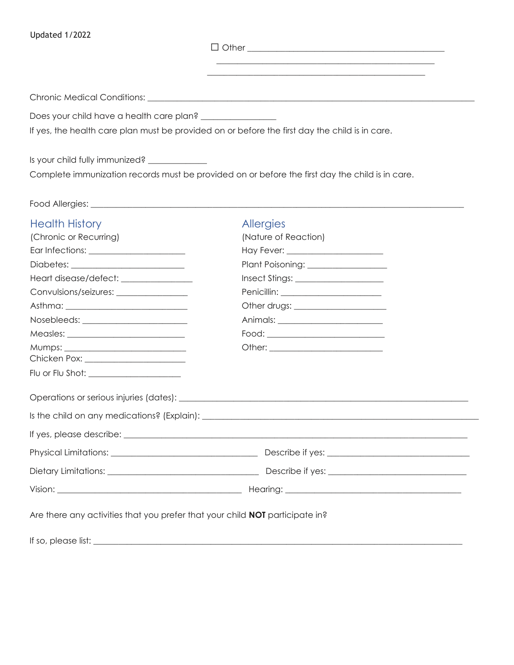Updated 1/2022

☐ Other \_\_\_\_\_\_\_\_\_\_\_\_\_\_\_\_\_\_\_\_\_\_\_\_\_\_\_\_\_\_\_\_\_\_\_\_\_\_\_\_\_\_\_\_\_\_\_

\_\_\_\_\_\_\_\_\_\_\_\_\_\_\_\_\_\_\_\_\_\_\_\_\_\_\_\_\_\_\_\_\_\_\_\_\_\_\_\_\_\_\_\_\_\_\_\_\_\_\_\_

Chronic Medical Conditions: \_\_\_\_\_\_\_\_\_\_\_\_\_\_\_\_\_\_\_\_\_\_\_\_\_\_\_\_\_\_\_\_\_\_\_\_\_\_\_\_\_\_\_\_\_\_\_\_\_\_\_\_\_\_\_\_\_\_\_\_\_\_\_\_\_\_\_\_\_\_\_\_\_\_\_\_\_\_

Does your child have a health care plan? \_\_\_\_\_\_\_\_\_\_\_\_\_\_\_\_\_\_

If yes, the health care plan must be provided on or before the first day the child is in care.

Is your child fully immunized? \_\_\_\_\_\_\_\_\_\_\_\_\_ Complete immunization records must be provided on or before the first day the child is in care.

Food Allergies: \_\_\_\_\_\_\_\_\_\_\_\_\_\_\_\_\_\_\_\_\_\_\_\_\_\_\_\_\_\_\_\_\_\_\_\_\_\_\_\_\_\_\_\_\_\_\_\_\_\_\_\_\_\_\_\_\_\_\_\_\_\_\_\_\_\_\_\_\_\_\_\_\_\_\_\_\_\_\_\_\_\_\_\_\_\_\_\_\_

| <b>Health History</b>                                                               | Allergies                                                                                                    |  |
|-------------------------------------------------------------------------------------|--------------------------------------------------------------------------------------------------------------|--|
| (Chronic or Recurring)                                                              | (Nature of Reaction)                                                                                         |  |
|                                                                                     |                                                                                                              |  |
|                                                                                     | Plant Poisoning: __________________                                                                          |  |
| Heart disease/defect: ________________                                              |                                                                                                              |  |
| Convulsions/seizures: ________________                                              | Penicillin: _________________________                                                                        |  |
|                                                                                     |                                                                                                              |  |
| Nosebleeds: ________________________                                                |                                                                                                              |  |
|                                                                                     |                                                                                                              |  |
|                                                                                     |                                                                                                              |  |
|                                                                                     |                                                                                                              |  |
| Flu or Flu Shot: ______________________                                             |                                                                                                              |  |
|                                                                                     |                                                                                                              |  |
|                                                                                     | Is the child on any medications? (Explain): example and a series of the child on any medications? (Explain): |  |
|                                                                                     |                                                                                                              |  |
|                                                                                     |                                                                                                              |  |
|                                                                                     |                                                                                                              |  |
|                                                                                     |                                                                                                              |  |
| Are there any activities that you prefer that your child <b>NOT</b> participate in? |                                                                                                              |  |
|                                                                                     |                                                                                                              |  |